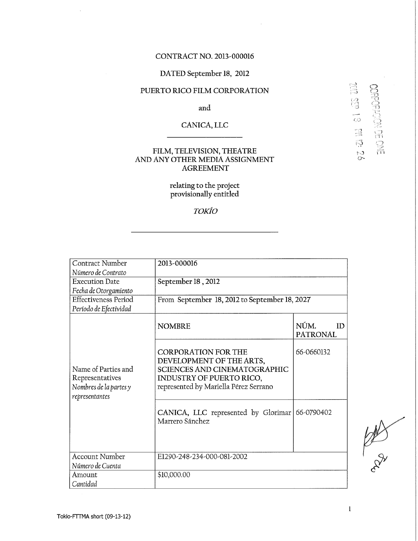#### **CONTRAC T NO. 2013-000016**

#### DATED September 18, 2012

### **PUERTO RICO FILM CORPORATION**

**and** 

**CANICA , LL C** 

#### **FILM , TELEVISION , THEATR E A N D AN Y OTHE R MEDI A ASSIGNMEN T AGREEMEN T**

**relating to the project provisionally entitled** 

#### *TOKIO*

| <b>Contract Number</b>                                                             | 2013-000016                                                                                                                                                               |                               |
|------------------------------------------------------------------------------------|---------------------------------------------------------------------------------------------------------------------------------------------------------------------------|-------------------------------|
| Número de Contrato                                                                 |                                                                                                                                                                           |                               |
| <b>Execution Date</b>                                                              | September 18, 2012                                                                                                                                                        |                               |
| Fecha de Otorgamiento                                                              |                                                                                                                                                                           |                               |
| <b>Effectiveness Period</b>                                                        | From September 18, 2012 to September 18, 2027                                                                                                                             |                               |
| Período de Efectividad                                                             |                                                                                                                                                                           |                               |
|                                                                                    | <b>NOMBRE</b>                                                                                                                                                             | NÚM.<br>ID<br><b>PATRONAL</b> |
| Name of Parties and<br>Representatives<br>Nombres de la partes y<br>representantes | <b>CORPORATION FOR THE</b><br>DEVELOPMENT OF THE ARTS,<br><b>SCIENCES AND CINEMATOGRAPHIC</b><br><b>INDUSTRY OF PUERTO RICO,</b><br>represented by Mariella Pérez Serrano | 66-0660132                    |
|                                                                                    | CANICA, LLC represented by Glorimar<br>Marrero Sánchez                                                                                                                    | 66-0790402                    |
| <b>Account Number</b>                                                              | E1290-248-234-000-081-2002                                                                                                                                                |                               |
| Número de Cuenta<br>Amount                                                         | \$10,000.00                                                                                                                                                               |                               |
| Cantidad                                                                           |                                                                                                                                                                           |                               |

**Tokio-FTTMA short (09-13-12)** 

S

 $\mathbb{S}$ 

 $\tilde{\mathbb{C}}$ 

 $\tilde{\mathbb{R}}^2$  $\widetilde{\mathbb{S}}$  $\frac{5}{2}$  DBBO<br>CBBO

名品品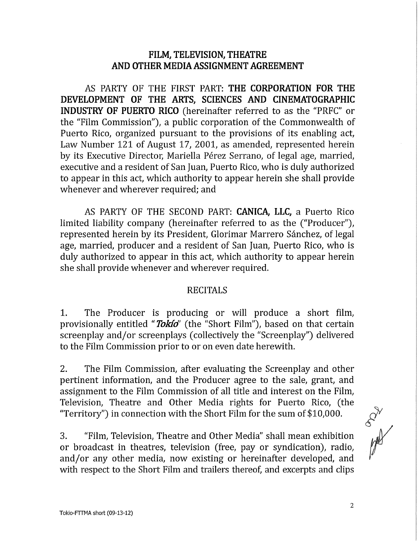## **FILM, TELEVISION, THEATRE AND OTHER MEDIA ASSIGNMENT AGREEMENT**

AS PARTY OF THE FIRST PART: **THE CORPORATION FOR THE DEVELOPMENT OF THE ARTS, SCIENCES AND CINEMATOGRAPHIC INDUSTRY OF PUERTO RICO** (hereinafter referred to as the "PRFC" or the "Film Commission"), a public corporation of the Commonwealth of Puerto Rico, organized pursuant to the provisions of its enabling act, Law Number 121 of August 17, 2001, as amended, represented herein by its Executive Director, Mariella Pérez Serrano, of legal age, married, executive and a resident of San Juan, Puerto Rico, who is duly authorized to appear in this act, which authority to appear herein she shall provide whenever and wherever required; and

AS PARTY OF THE SECOND PART: **CANICA, LLC,** a Puerto Rico limited liability company (hereinafter referred to as the ("Producer"), represented herein by its President, Glorimar Marrero Sánchez, of legal age, married, producer and a resident of San Juan, Puerto Rico, who is duly authorized to appear in this act, which authority to appear herein she shall provide whenever and wherever required.

## RECITALS

1. The Producer is producing or will produce a short film, provisionally entitled "*Tokid*" (the "Short Film"), based on that certain screenplay and/or screenplays (collectively the "Screenplay") delivered to the Film Commission prior to or on even date herewith.

2. The Film Commission, after evaluating the Screenplay and other pertinent information, and the Producer agree to the sale, grant, and assignment to the Film Commission of all title and interest on the Film, Television, Theatre and Other Media rights for Puerto Rico, (the "Territory") in connection with the Short Film for the sum of  $$10,000$ .

3. "Film, Television, Theatre and Other Media" shall mean exhibition or broadcast in theatres, television (free, pay or syndication), radio, and/or any other media, now existing or hereinafter developed, and with respect to the Short Film and trailers thereof, and excerpts and clips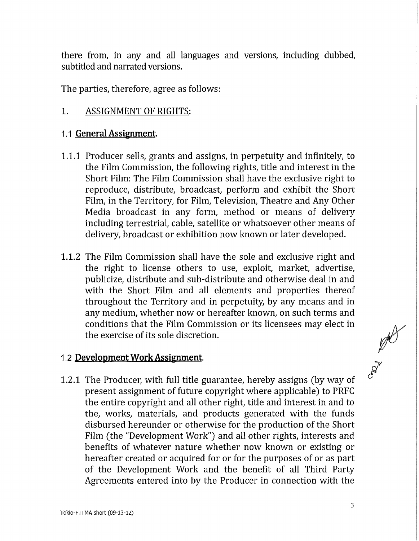there from, in any and all languages and versions, including dubbed, subtitled and narrated versions,

The parties, therefore, agree as follows:

# 1. ASSIGNMENT OF RIGHTS:

## **1.1 General Assignment.**

- 1.1.1 Producer sells, grants and assigns, in perpetuity and infinitely, to the Film Commission, the following rights, title and interest in the Short Film: The Film Commission shall have the exclusive right to reproduce, distribute, broadcast, perform and exhibit the Short Film, in the Territory, for Film, Television, Theatre and Any Other Media broadcast in any form, method or means of delivery including terrestrial, cable, satellite or whatsoever other means of delivery, broadcast or exhibition now known or later developed.
- 1.1.2 The Film Commission shall have the solé and exclusive right and the right to license others to use, exploit, market, advertise, publicize, distribute and sub-distribute and otherwise deal in and with the Short Film and all elements and properties thereof throughout the Territory and in perpetuity, by any means and in any medium, whether now or hereafter known, on such terms and conditions that the Film Commission or its licensees may elect in the exercise of its solé discretion.

# **1.2 Development Work Assignment.**

1.2.1 The Producer, with full title guarantee, hereby assigns (by way of present assignment of future copyright where applicable) to PRFC the entire copyright and all other right, title and interest in and to the, works, materials, and products generated with the funds disbursed hereunder or otherwise for the production of the Short Film (the "Development Work") and all other rights, interests and benefits of whatever nature whether now known or existing or hereafter created or acquired for or for the purposes of or as part of the Development Work and the benefit of all Third Party Agreements entered into by the Producer in connection with the

AND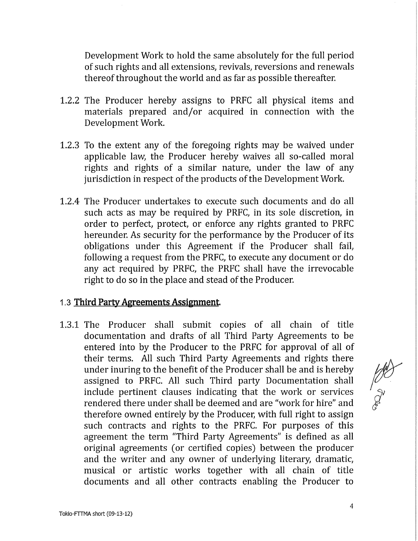Development Work to hold the same absolutely for the full period of such rights and all extensions, revivals, reversions and renewals thereof throughout the world and as far as possible thereafter.

- 1.2.2 The Producer hereby assigns to PRFC all physical items and materials prepared and/or acquired in connection with the Development Work.
- 1.2.3 To the extent any of the foregoing rights may be waived under applicable law, the Producer hereby waives all so-called moral rights and rights of a similar nature, under the law of any jurisdiction in respect of the products of the Development Work.
- 1.2.4 The Producer undertakes to execute such documents and do all such acts as may be required by PRFC, in its sole discretion, in order to perfect, protect, or enforce any rights granted to PRFC hereunder. As security for the performance by the Producer of its obligations under this Agreement if the Producer shall fail, following a request from the PRFC, to execute any document or do any act required by PRFC, the PRFC shall have the irrevocable right to do so in the place and stead of the Producer.

## 1.3 **Third Party Agreements Assignment**.

1.3.1 The Producer shall submit copies of all chain of title documentation and drafts of all Third Party Agreements to be entered into by the Producer to the PRFC for approval of all of their terms. All such Third Party Agreements and rights there under inuring to the benefit of the Producer shall be and is hereby assigned to PRFC. All such Third party Documentation shall include pertinent clauses indicating that the work or services rendered there under shall be deemed and are "work for hire" and therefore owned entirely by the Producer, with full right to assign such contracts and rights to the PRFC. For purposes of this agreement the term "Third Party Agreements" is defined as all original agreements (or certified copies) between the producer and the writer and any owner of underlying literary dramatic, musical or artistic works together with all chain of title documents and all other contracts enabling the Producer to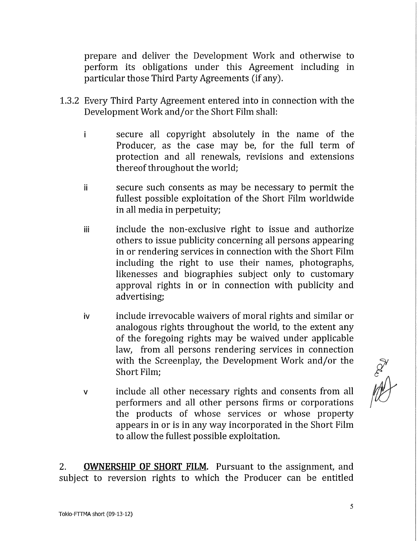prepare and deliver the Development Work and otherwise to perform its obligations under this Agreement including in particular those Third Party Agreements (if any).

- 1.3.2 Every Third Party Agreement entered into in connection with the Development Work and/or the Short Film shall:
	- i secure all copyright absolutely in the ñame of the Producer, as the case may be, for the full term of protection and all renewals, revisions and extensions thereof throughout the world;
	- ii secure such consents as may be necessary to permit the fullest possible exploitation of the Short Film worldwide in all media in perpetuity;
	- iii include the non-exclusive right to issue and authorize others to issue publicity concerning all persons appearing in or rendering services in connection with the Short Film including the right to use their names, photographs, likenesses and biographies subject only to customary approval rights in or in connection with publicity and advertising;
	- iv include irrevocable waivers of moral rights and similar or analogous rights throughout the world, to the extent any of the foregoing rights may be waived under applicable law, from all persons rendering services in connection with the Screenplay, the Development Work and/or the Short Film;
	- v include all other necessary rights and consents from all performers and all other persons firms or corporations the products of whose services or whose property appears in or is in any way incorporated in the Short Film to allow the fullest possible exploitation.

2. **OWNERSHIP OF SHORT FILM.** Pursuant to the assignment, and subject to reversion rights to which the Producer can be entitled

Red March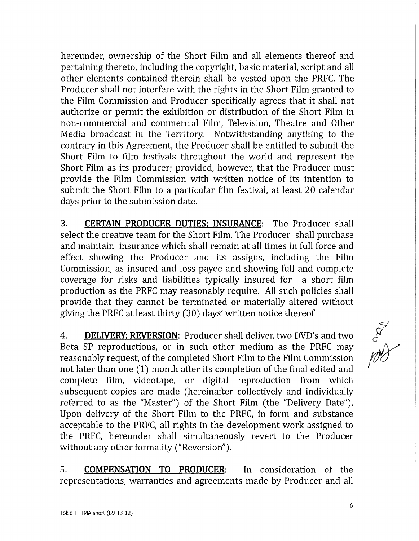hereunder, ownership of the Short Film and all elements thereof and pertaining thereto, including the copyright, basic material, script and all other elements contained therein shall be vested upon the PRFC. The Producer shall not interfere with the rights in the Short Film granted to the Film Commission and Producer specifically agrees that it shall not authorize or permit the exhibition or distribution of the Short Film in non-commercial and commercial Film, Television, Theatre and Other Media broadcast in the Territory. Notwithstanding anything to the contrary in this Agreement, the Producer shall be entitled to submit the Short Film to film festivals throughout the world and represent the Short Film as its producer; provided, however, that the Producer must provide the Film Commission with written notice of its intention to submit the Short Film to a particular film festival, at least 20 calendar days prior to the submission date.

3. **CERTAIN PRODUCER DUTIES: INSURANCE:** The Producer shall select the creative team for the Short Film. The Producer shall purchase and maintain insurance which shall remain at all times in full forcé and effect showing the Producer and its assigns, including the Film Commission, as insured and loss payee and showing full and complete coverage for risks and liabilities typically insured for a short film production as the PRFC may reasonably require. All such policies shall provide that they cannot be terminated or materially altered without giving the PRFC at least thirty (30) days' written notice thereof

4. **DELIVERY: REVERSION:** Producer shall deliver, two DVD's and two Beta SP reproductions, or in such other medium as the PRFC may reasonably request, of the completed Short Film to the Film Commission not later than one (1) month after its completion of the final edited and complete film, videotape, or digital reproduction from which subsequent copies are made (hereinafter collectively and individually referred to as the "Master") of the Short Film (the "Delivery Date"). Upon delivery of the Short Film to the PRFC, in form and substance acceptable to the PRFC, all rights in the development work assigned to the PRFC, hereunder shall simultaneously revert to the Producer without any other formality ("Reversion").

5. **COMPENSATION TO PRODUCER:** In consideration of the representations, warranties and agreements made by Producer and all

**EAST**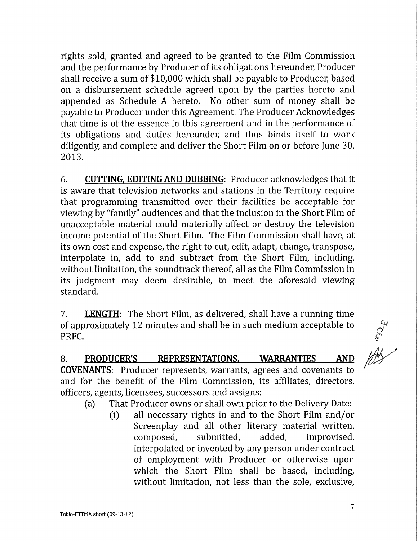rights sold, granted and agreed to be granted to the Film Commission and the performance by Producer of its obligations hereunder, Producer shall receive a sum of \$10,000 which shall be payable to Producer, based on a disbursement schedule agreed upon by the parties hereto and appended as Schedule A hereto. No other sum of money shall be payable to Producer under this Agreement. The Producer Acknowledges that time is of the essence in this agreement and in the performance of its obligations and duties hereunder, and thus binds itself to work diligently, and complete and deliver the Short Film on or before June 30, 2013.

6. **CUTTING. EDITING AND DUBBING:** Producer acknowledges that it is aware that television networks and stations in the Territory require that programming transmitted over their facilities be acceptable for viewing by "family" audiences and that the inclusión in the Short Film of unacceptable material could materially affect or destroy the televisión income potential of the Short Film. The Film Commission shall have, at its own cost and expense, the right to cut, edit, adapt, change, transpose, interpólate in, add to and subtract from the Short Film, including, without limitation, the soundtrack thereof, all as the Film Commission in its judgment may deem desirable, to meet the aforesaid viewing standard.

7. **LENGTH:** The Short Film, as delivered, shall have a running time of approximately 12 minutes and shall be in such médium acceptable to PRFC.

8. **PRODUCER'S REPRESENTATIONS. WARRANTIES AND COVENANTS:** Producer represents, warrants, agrees and covenants to and for the benefit of the Film Commission, its affiliates, directors, officers, agents, licensees, successors and assigns:

(a) That Producer owns or shall own prior to the Delivery Date:

(i) all necessary rights in and to the Short Film and/or Screenplay and all other literary material written, composed, submitted, added, improvised, interpolated or invented by any person under contract of employment with Producer or otherwise upon which the Short Film shall be based, including, without limitation, not less than the sole, exclusive,

ART OF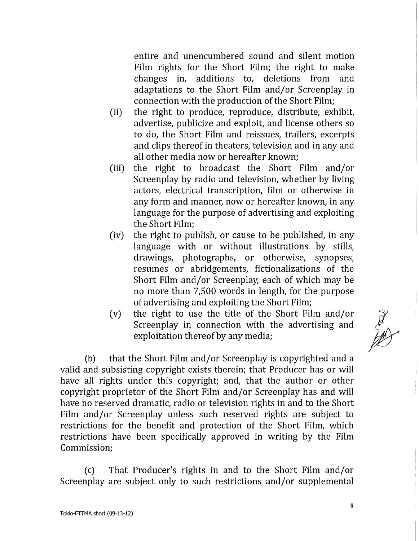entire and unencumbered sound and silent motion Film rights for the Short Film; the right to make changes in, additions to, deletions from and adaptations to the Short Film and/or Screenplay in connection with the production of the Short Film;

- (ii) the right to produce, reproduce, distribute, exhibit, advertise, publicize and exploit, and license others so to do, the Short Film and reissues, trailers, excerpts and clips thereof in theaters, television and in any and all other media now or hereafter known;
- (iii) the right to broadcast the Short Film and/or Screenplay by radio and television, whether by living actors, electrical transcription, film or otherwise in any form and manner, now or hereafter known, in any language for the purpose of advertising and exploiting the Short Film;
- (iv) the right to publish, or cause to be published, in any language with or without illustrations by stills, drawings, photographs, or otherwise, synopses, resumes or abridgements, fictionalizations of the Short Film and/or Screenplay, each of which may be no more than 7,500 words in length, for the purpose of advertising and exploiting the Short Film;
- (v) the right to use the title of the Short Film and/or Screenplay in connection with the advertising and exploitation thereof by any media;

(b) that the Short Film and/or Screenplay is copyrighted and a valid and subsisting copyright exists therein; that Producer has or will have all rights under this copyright; and, that the author or other copyright proprietor of the Short Film and/or Screenplay has and will have no reserved dramatic, radio or television rights in and to the Short Film and/or Screenplay unless such reserved rights are subject to restrictions for the benefit and protection of the Short Film, which restrictions have been specifically approved in writing by the Film Commission;

(c) That Producer's rights in and to the Short Film and/or Screenplay are subject only to such restrictions and/or supplemental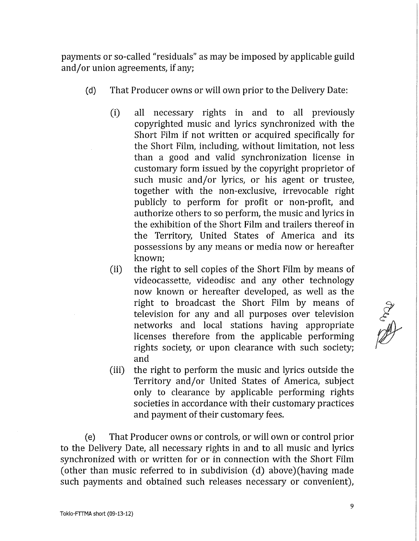payments or so-called "residuals" as may be imposed by applicable guild and/or union agreements, if any;

- (d) That Producer owns or will own prior to the Delivery Date:
	- (i) all necessary rights in and to all previously copyrighted music and lyrics synchronized with the Short Film if not written or acquired specifically for the Short Film, including, without limitation, not less than a good and valid synchronization license in customary form issued by the copyright proprietor of such music and/or lyrics, or his agent or trustee, together with the non-exclusive, irrevocable right publicly to perform for profit or non-profit, and authorize others to so perform, the music and lyrics in the exhibition of the Short Film and trailers thereof in the Territory, United States of America and its possessions by any means or media now or hereafter known;
	- (ii) the right to sell copies of the Short Film by means of videocassette, videodisc and any other technology now known or hereafter developed, as well as the right to broadcast the Short Film by means of television for any and all purposes over television networks and local stations having appropriate licenses therefore from the applicable performing rights society, or upon clearance with such society; and
	- (iii) the right to perform the music and lyrics outside the Territory and/or United States of America, subject only to clearance by applicable performing rights societies in accordance with their customary practices and payment of their customary fees.

(e) That Producer owns or controls, or wil l own or control prior to the Delivery Date, all necessary rights in and to all music and lyrics synchronized with or written for or in connection with the Short Film (other than music referred to in subdivision (d) above) (having made such payments and obtained such releases necessary or convenient),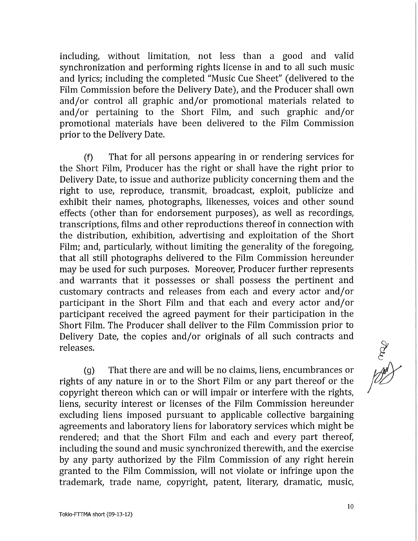including, without limitation, not less than a good and valid synchronization and performing rights license in and to all such music and lyrics; including the completed "Music Cue Sheet" (delivered to the Film Commission before the Delivery Date), and the Producer shall own and/or control all graphic and/or promotional materials related to and/or pertaining to the Short Film, and such graphic and/or promotional materials have been delivered to the Film Commission prior to the Delivery Date.

(f) That for all persons appearing in or rendering services for the Short Film, Producer has the right or shall have the right prior to Delivery Date, to issue and authorize publicity concerning them and the right to use, reproduce, transmit, broadcast, exploit, publicize and exhibit their names, photographs, likenesses, voices and other sound effects (other than for endorsement purposes), as well as recordings, transcriptions, films and other reproductions thereof in connection with the distribution, exhibition, advertising and exploitation of the Short Film; and, particularly, without limiting the generality of the foregoing, that all still photographs delivered to the Film Commission hereunder may be used for such purposes. Moreover, Producer further represents and warrants that it possesses or shall possess the pertinent and customary contracts and releases from each and every actor and/or participant in the Short Film and that each and every actor and/or participant received the agreed payment for their participation in the Short Film. The Producer shall deliver to the Film Commission prior to Delivery Date, the copies and/or originals of all such contracts and releases.

 $(q)$  That there are and will be no claims, liens, encumbrances or rights of any nature in or to the Short Film or any part thereof or the copyright thereon which can or will impair or interfere with the rights, liens, security interest or licenses of the Film Commission hereunder excluding liens imposed pursuant to applicable collective bargaining agreements and laboratory liens for laboratory services which might be rendered; and that the Short Film and each and every part thereof, including the sound and music synchronized therewith, and the exercise by any party authorized by the Film Commission of any right herein granted to the Film Commission, will not violate or infringe upon the trademark, trade name, copyright, patent, literary, dramatic, music,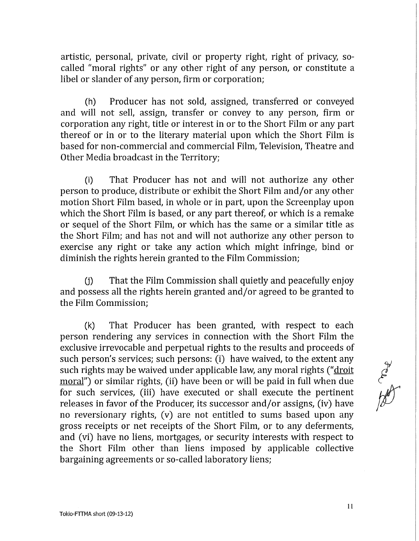artistic, personal, prívate, civil or property right, right of privacy, socalled "moral rights" or any other right of any person, or constitute a libel or slander of any person, firm or corporation;

(h) Producer has not sold, assigned, transferred or conveyed and will not sell, assign, transfer or convey to any person, firm or corporation any right, title or interest in or to the Short Film or any part thereof or in or to the literary material upon which the Short Film is based for non-commercial and commercial Film, Televisión, Theatre and Other Media broadcast in the Territory;

(i) That Producer has not and will not authorize any other person to produce, distribute or exhibit the Short Film and/or any other motion Short Film based, in whole or in part, upon the Screenplay upon which the Short Film is based, or any part thereof, or which is a remake or sequel of the Short Film, or which has the same or a similar title as the Short Film; and has not and will not authorize any other person to exercise any right or take any action which might infringe, bind or diminish the rights herein granted to the Film Commission;

(j) That the Film Commission shall quietly and peacefully enjoy and possess all the rights herein granted and/or agreed to be granted to the Film Commission;

 $(k)$  That Producer has been granted, with respect to each person rendering any services in connection with the Short Film the exclusive irrevocable and perpetual rights to the results and proceeds of such person's services; such persons: (i) have waived, to the extent any such rights may be waived under applicable law, any moral rights ("droit moral") or similar rights, (ii) have been or will be paid in full when due for such services, (iii) have executed or shall execute the pertinent releases in favor of the Producer, its successor and/or assigns, (iv) have no reversionary rights, (v) are not entitled to sums based upon any gross receipts or net receipts of the Short Film, or to any deferments, and (vi) have no liens, mortgages, or security interests with respect to the Short Film other than liens imposed by applicable collective bargaining agreements or so-called laboratory liens;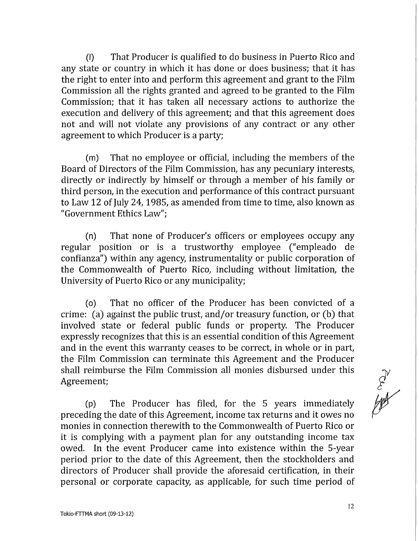(I) That Producer is qualified to do business in Puerto Rico and any state or country in which it has done or does business; that it has the right to enter into and perform this agreement and grant to the Film Commission all the rights granted and agreed to be granted to the Film Commission; that it has taken all necessary actions to authorize the execution and delivery of this agreement; and that this agreement does not and will not violate any provisions of any contract or any other agreement to which Producer is a party;

(m) That no employee or official, including the members of the Board of Directors of the Film Commission, has any pecuniary interests, directly or indirectly by himself or through a member of his family or third person, in the execution and performance of this contract pursuant to Law 12 of July 24, 1985, as amended from time to time, also known as "Government Ethics Law";

(n) That none of Producer's officers or employees occupy any regular position or is a trustworthy employee ("empleado de confianza") within any agency instrumentality or public corporation of the Commonwealth of Puerto Rico, including without limitation, the University of Puerto Rico or any municipality;

(o) That no officer of the Producer has been convicted of a crime: (a) against the public trust, and/or treasury function, or (b) that involved state or federal public funds or property. The Producer expressly recognizes that this is an essential condition of this Agreement and in the event this warranty ceases to be correct, in whole or in part, the Film Commission can terminate this Agreement and the Producer shall reimburse the Film Commission all monies disbursed under this Agreement;

(p) The Producer has filed, for the 5 years immediately preceding the date of this Agreement, income tax returns and it owes no monies in connection therewith to the Commonwealth of Puerto Rico or it is complying with a payment plan for any outstanding income tax owed. In the event Producer came into existence within the 5-year period prior to the date of this Agreement, then the stockholders and directors of Producer shall provide the aforesaid certifícation, in their personal or corporate capacity, as applicable, for such time period of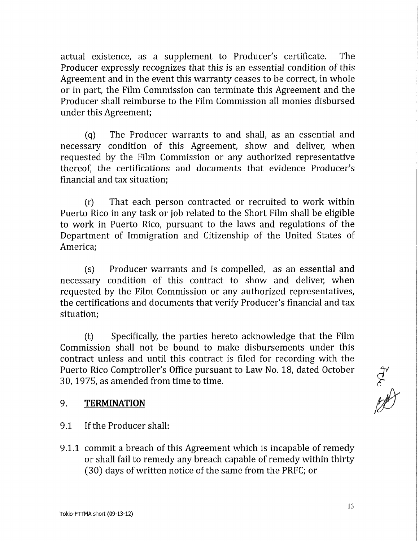actual existence, as a supplement to Producer's certifícate. The Producer expressly recognizes that this is an essential condition of this Agreement and in the event this warranty ceases to be correct, in whole or in part, the Film Commission can terminate this Agreement and the Producer shall reimburse to the Film Commission all monies disbursed under this Agreement;

(q) The Producer warrants to and shall, as an essential and necessary condition of this Agreement, show and deliver, when requested by the Film Commission or any authorized representative thereof, the certifications and documents that evidence Producer's financial and tax situation;

(r) That each person contracted or recruited to work within Puerto Rico in any task or job related to the Short Film shall be eligible to work in Puerto Rico, pursuant to the laws and regulations of the Department of Immigration and Citizenship of the United States of America;

(s) Producer warrants and is compelled, as an essential and necessary condition of this contract to show and deliver, when requested by the Film Commission or any authorized representatives, the certifications and documents that verify Producer's financial and tax situation;

(t) Specifically, the parties hereto acknowledge that the Film Commission shall not be bound to make disbursements under this contract unless and until this contract is filed for recording with the Puerto Rico Comptroller's Office pursuant to Law No. 18, dated October 30,1975, as amended from time to time.

## 9. **TERMINATION**

- 9.1 If the Producer shall:
- 9.1.1 commit a breach of this Agreement which is incapable of remedy or shall fail to remedy any breach capable of remedy within thirty (30) days of written notice of the same from the PRFC; or

of the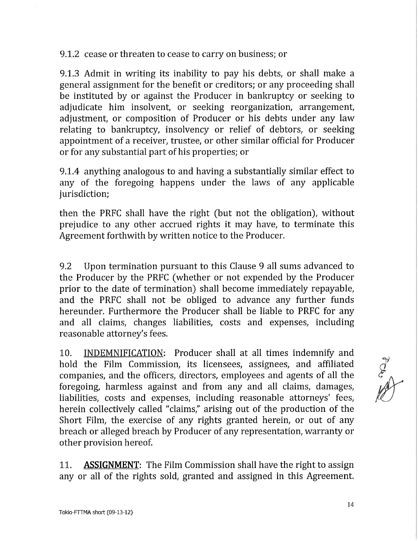9.1.2 cease or threaten to cease to carry on business; or

9.1.3 Admit in writing its inability to pay his debts, or shall make a general assignment for the benefit or creditors; or any proceeding shall be instituted by or against the Producer in bankruptcy or seeking to adjudicate him insolvent, or seeking reorganization, arrangement, adjustment, or composition of Producer or his debts under any law relating to bankruptcy, insolvency or relief of debtors, or seeking appointment of a receiver, trustee, or other similar official for Producer or for any substantial part of his properties; or

9.1.4 anything analogous to and having a substantially similar effect to any of the foregoing happens under the laws of any applicable jurisdiction;

then the PRFC shall have the right (but not the obligation), without prejudice to any other accrued rights it may have, to terminate this Agreement forthwith by written notice to the Producer.

9.2 Upon termination pursuant to this Clause 9 all sums advanced to the Producer by the PRFC (whether or not expended by the Producer prior to the date of termination) shall become immediately repayable, and the PRFC shall not be obliged to advance any further funds hereunder. Furthermore the Producer shall be liable to PRFC for any and all claims, changes liabilities, costs and expenses, including reasonable attorney's fees.

10. INDEMNIFICATION: Producer shall at all times indemnify and hold the Film Commission, its licensees, assignees, and affiliated companies, and the officers, directors, employees and agents of all the foregoing, harmless against and from any and all claims, damages, liabilities, costs and expenses, including reasonable attorneys' fees, herein collectively called "claims," arising out of the production of the Short Film, the exercise of any rights granted herein, or out of any breach or alleged breach by Producer of any representation, warranty or other provision hereof.

11. **ASSIGNMENT:** The Film Commission shall have the right to assign any or all of the rights sold, granted and assigned in this Agreement.

Artist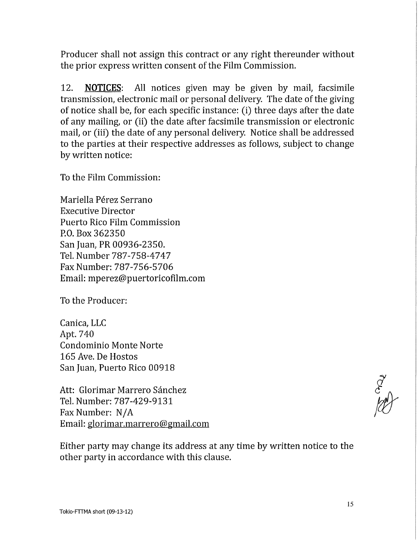Producer shall not assign this contract or any right thereunder without the prior express written consent of the Film Commission.

12. **NOTICES:** All notices given may be given by mail, facsímile transmission, electronic mail or personal delivery. The date of the giving of notice shall be, for each specific instance: (i) three days after the date of any mailing, or (ii) the date after facsímile transmission or electronic mail, or (iii) the date of any personal delivery. Notice shall be addressed to the parties at their respective addresses as follows, subject to change by written notice:

To the Film Commission:

Mariella Pérez Serrano Executive Director Puerto Rico Film Commission P.O. Box 362350 San Juan, PR 00936-2350. Tel. Number 787-758-4747 Fax Number: 787-756-5706 Email: mperez@puertoricofilm.com

To the Producer:

Canica, LLC Apt. 740 Condominio Monte Norte 165 Ave. De Hostos San Juan, Puerto Rico 00918

Att: Glorimar Marrero Sánchez Tel. Number: 787-429-9131 Fax Number: N/A Email: glorimar.marrero@gmail.com

Either party may change its address at any time by written notice to the other party in accordance with this clause.

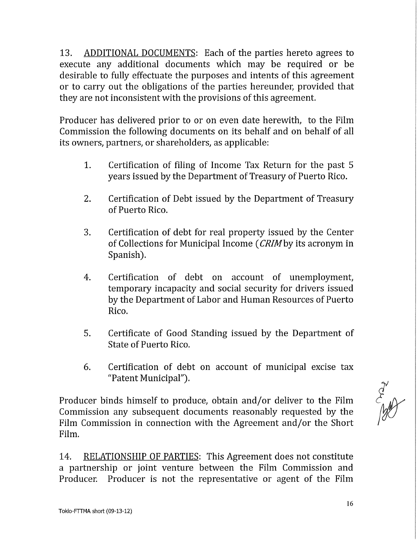13. ADDITIONAL DOCUMENTS: Each of the parties hereto agrees to execute any additional documents which may be required or be desirable to fully effectuate the purposes and intents of this agreement or to carry out the obligations of the parties hereunder, provided that they are not inconsistent with the provisions of this agreement.

Producer has delivered prior to or on even date herewith, to the Film Commission the following documents on its behalf and on behalf of all its owners, partners, or shareholders, as applicable:

- 1. Certifícation of filing of Income Tax Return for the past 5 years issued by the Department of Treasury of Puerto Rico.
- 2. Certifícation of Debt issued by the Department of Treasury of Puerto Rico.
- 3. Certifícation of debt for real property issued by the Center of Collections for Municipal Income *(CRIMby* its acronym in Spanish).
- 4. Certifícation of debt on account of unemployment, temporary incapacity and social security for drivers issued by the Department of Labor and Human Resources of Puerto Rico.
- 5. Certifícate of Good Standing issued by the Department of State of Puerto Rico.
- 6. Certifícation of debt on account of municipal excise tax "Patent Municipal").

Producer binds himself to produce, obtain and/or deliver to the Film Commission any subsequent documents reasonably requested by the Film Commission in connection with the Agreement and/or the Short Film.

14. RELATIONSHIP OF PARTIES: This Agreement does not constitute a partnership or joint venture between the Film Commission and Producer. Producer is not the representative or agent of the Film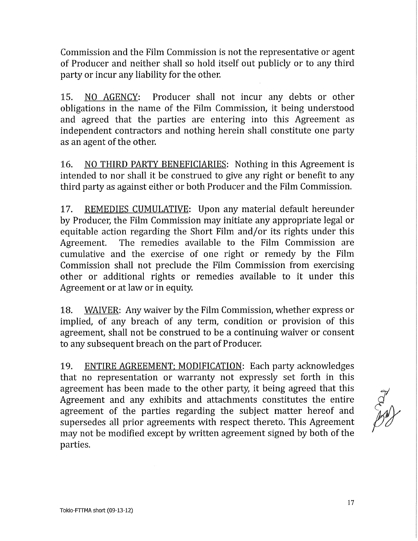Commission and the Film Commission is not the representative or agent of Producer and neither shall so hold itself out publicly or to any third party or incur any liability for the other.

15. NO AGENCY: Producer shall not incur any debts or other obligations in the name of the Film Commission, it being understood and agreed that the parties are entering into this Agreement as independent contractors and nothing herein shall constitute one party as an agent of the other.

16. NO THIRD PARTY BENEFICIARIES: Nothing in this Agreement is intended to nor shall it be construed to give any right or benefit to any third party as against either or both Producer and the Film Commission.

17. REMEDIES CUMULATIVE: Upon any material default hereunder by Producer, the Film Commission may initiate any appropriate legal or equitable action regarding the Short Film and/or its rights under this Agreement. The remedies available to the Film Commission are cumulative and the exercise of one right or remedy by the Film Commission shall not preclude the Film Commission from exercising other or additional rights or remedies available to it under this Agreement or at law or in equity.

18. WAIVER: Any waiver by the Film Commission, whether express or implied, of any breach of any term, condition or provision of this agreement, shall not be construed to be a continuing waiver or consent to any subsequent breach on the part of Producer.

19. ENTIRE AGREEMENT: MODIFICATION: Each party acknowledges that no representation or warranty not expressly set forth in this agreement has been made to the other party, it being agreed that this Agreement and any exhibits and attachments constitutes the entire agreement of the parties regarding the subject matter hereof and supersedes all prior agreements with respect thereto. This Agreement may not be modified except by written agreement signed by both of the parties.

Art of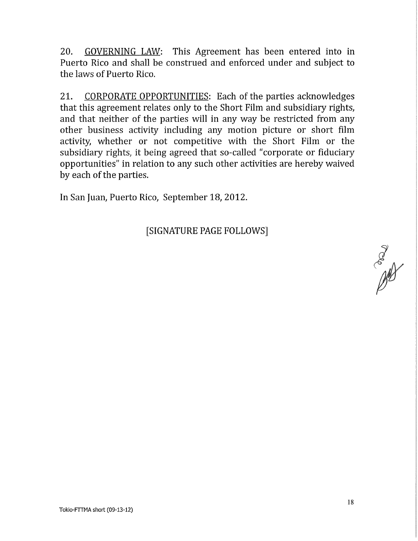20. GOVERNING LAW: This Agreement has been entered into in Puerto Rico and shall be construed and enforced under and subject to the laws of Puerto Rico.

21. CORPORATE OPPORTUNITIES: Each of the parties acknowledges that this agreement relates only to the Short Film and subsidiary rights, and that neither of the parties will in any way be restricted from any other business activity including any motion picture or short film activity, whether or not competitive with the Short Film or the subsidiary rights, it being agreed that so-called "corporate or fiduciary opportunities" in relation to any such other activities are hereby waived by each of the parties.

In San Juan, Puerto Rico, September 18, 2012.

[SIGNATURE PAGE FOLLOWS]

Read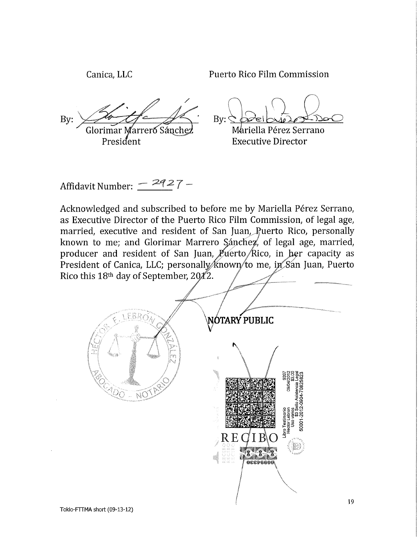Canica, LLC Puerto Rico Film Commission

By: Glorimar Marreró^Sánche; President

 $Bv:$ 

M&riella Pérez Serrano Executive Director

Affidavit Number:  $-$  2927 -

Acknowledged and subscribed to before me by Mariella Pérez Serrano, as Executive Director of the Puerto Rico Film Commission, of legal age, married, executive and resident of San Juan, Ruerto Rico, personally known to me; and Glorimar Marrero Sánchez, of legal age, married, producer and resident of San Juan,  $\cancel{p}$  verto *Rico*, in her capacity as President of Canica, LLC; personally known to me, in San Juan, Puerto Rico this 18th day of September, 20⁄4′2.